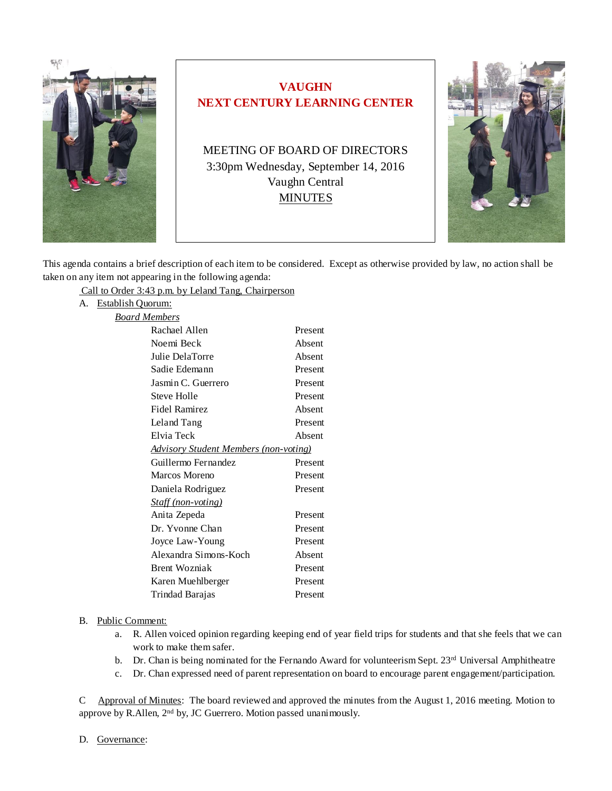

# **VAUGHN NEXT CENTURY LEARNING CENTER**

MEETING OF BOARD OF DIRECTORS 3:30pm Wednesday, September 14, 2016 Vaughn Central MINUTES



This agenda contains a brief description of each item to be considered. Except as otherwise provided by law, no action shall be taken on any item not appearing in the following agenda:

Call to Order 3:43 p.m. by Leland Tang, Chairperson

A. Establish Quorum:

| Board Members                                |         |
|----------------------------------------------|---------|
| Rachael Allen                                | Present |
| Noemi Beck                                   | Absent  |
| Julie DelaTorre                              | Absent  |
| Sadie Edemann                                | Present |
| Jasmin C. Guerrero                           | Present |
| Steve Holle                                  | Present |
| Fidel Ramirez                                | Absent  |
| Leland Tang                                  | Present |
| Elvia Teck                                   | Absent  |
| <b>Advisory Student Members (non-voting)</b> |         |
| Guillermo Fernandez                          | Present |
| Marcos Moreno                                | Present |
| Daniela Rodriguez                            | Present |
| <b>Staff (non-voting)</b>                    |         |
| Anita Zepeda                                 | Present |
| Dr. Yvonne Chan                              | Present |
| Joyce Law-Young                              | Present |
| Alexandra Simons-Koch                        | Absent  |
| <b>Brent Wozniak</b>                         | Present |
| Karen Muehlberger                            | Present |
| Trindad Barajas                              | Present |

### B. Public Comment:

- a. R. Allen voiced opinion regarding keeping end of year field trips for students and that she feels that we can work to make them safer.
- b. Dr. Chan is being nominated for the Fernando Award for volunteerism Sept. 23<sup>rd</sup> Universal Amphitheatre
- c. Dr. Chan expressed need of parent representation on board to encourage parent engagement/participation.

C Approval of Minutes: The board reviewed and approved the minutes from the August 1, 2016 meeting. Motion to approve by R.Allen, 2<sup>nd</sup> by, JC Guerrero. Motion passed unanimously.

#### D. Governance: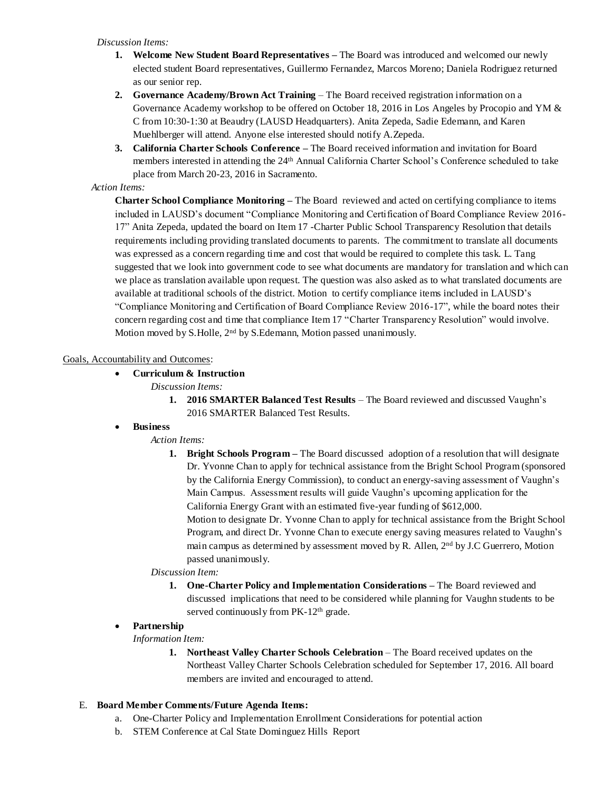#### *Discussion Items:*

- **1. Welcome New Student Board Representatives –** The Board was introduced and welcomed our newly elected student Board representatives, Guillermo Fernandez, Marcos Moreno; Daniela Rodriguez returned as our senior rep.
- **2. Governance Academy/Brown Act Training** The Board received registration information on a Governance Academy workshop to be offered on October 18, 2016 in Los Angeles by Procopio and YM & C from 10:30-1:30 at Beaudry (LAUSD Headquarters). Anita Zepeda, Sadie Edemann, and Karen Muehlberger will attend. Anyone else interested should notify A.Zepeda.
- **3. California Charter Schools Conference –** The Board received information and invitation for Board members interested in attending the 24th Annual California Charter School's Conference scheduled to take place from March 20-23, 2016 in Sacramento.

## *Action Items:*

**Charter School Compliance Monitoring –** The Board reviewed and acted on certifying compliance to items included in LAUSD's document "Compliance Monitoring and Certification of Board Compliance Review 2016- 17" Anita Zepeda, updated the board on Item 17 -Charter Public School Transparency Resolution that details requirements including providing translated documents to parents. The commitment to translate all documents was expressed as a concern regarding time and cost that would be required to complete this task. L. Tang suggested that we look into government code to see what documents are mandatory for translation and which can we place as translation available upon request. The question was also asked as to what translated documents are available at traditional schools of the district. Motion to certify compliance items included in LAUSD's "Compliance Monitoring and Certification of Board Compliance Review 2016-17", while the board notes their concern regarding cost and time that compliance Item 17 "Charter Transparency Resolution" would involve. Motion moved by S.Holle, 2nd by S.Edemann, Motion passed unanimously.

## Goals, Accountability and Outcomes:

• **Curriculum & Instruction**

*Discussion Items:*

**1. 2016 SMARTER Balanced Test Results** – The Board reviewed and discussed Vaughn's 2016 SMARTER Balanced Test Results.

## • **Business**

## *Action Items:*

**1. Bright Schools Program –** The Board discussed adoption of a resolution that will designate Dr. Yvonne Chan to apply for technical assistance from the Bright School Program (sponsored by the California Energy Commission), to conduct an energy-saving assessment of Vaughn's Main Campus. Assessment results will guide Vaughn's upcoming application for the California Energy Grant with an estimated five-year funding of \$612,000. Motion to designate Dr. Yvonne Chan to apply for technical assistance from the Bright School Program, and direct Dr. Yvonne Chan to execute energy saving measures related to Vaughn's main campus as determined by assessment moved by R. Allen, 2nd by J.C Guerrero, Motion passed unanimously.

### *Discussion Item:*

**1. One-Charter Policy and Implementation Considerations –** The Board reviewed and discussed implications that need to be considered while planning for Vaughn students to be served continuously from PK-12<sup>th</sup> grade.

## • **Partnership**

### *Information Item:*

**1. Northeast Valley Charter Schools Celebration** – The Board received updates on the Northeast Valley Charter Schools Celebration scheduled for September 17, 2016. All board members are invited and encouraged to attend.

## E. **Board Member Comments/Future Agenda Items:**

- a. One-Charter Policy and Implementation Enrollment Considerations for potential action
- b. STEM Conference at Cal State Dominguez Hills Report